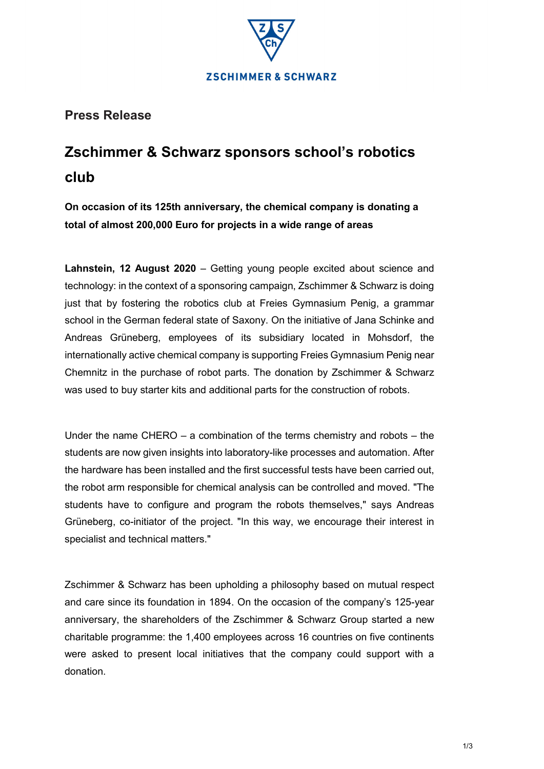

**Press Release**

# **Zschimmer & Schwarz sponsors school's robotics club**

**On occasion of its 125th anniversary, the chemical company is donating a total of almost 200,000 Euro for projects in a wide range of areas**

**Lahnstein, 12 August 2020** – Getting young people excited about science and technology: in the context of a sponsoring campaign, Zschimmer & Schwarz is doing just that by fostering the robotics club at Freies Gymnasium Penig, a grammar school in the German federal state of Saxony. On the initiative of Jana Schinke and Andreas Grüneberg, employees of its subsidiary located in Mohsdorf, the internationally active chemical company is supporting Freies Gymnasium Penig near Chemnitz in the purchase of robot parts. The donation by Zschimmer & Schwarz was used to buy starter kits and additional parts for the construction of robots.

Under the name CHERO – a combination of the terms chemistry and robots – the students are now given insights into laboratory-like processes and automation. After the hardware has been installed and the first successful tests have been carried out, the robot arm responsible for chemical analysis can be controlled and moved. "The students have to configure and program the robots themselves," says Andreas Grüneberg, co-initiator of the project. "In this way, we encourage their interest in specialist and technical matters."

Zschimmer & Schwarz has been upholding a philosophy based on mutual respect and care since its foundation in 1894. On the occasion of the company's 125-year anniversary, the shareholders of the Zschimmer & Schwarz Group started a new charitable programme: the 1,400 employees across 16 countries on five continents were asked to present local initiatives that the company could support with a donation.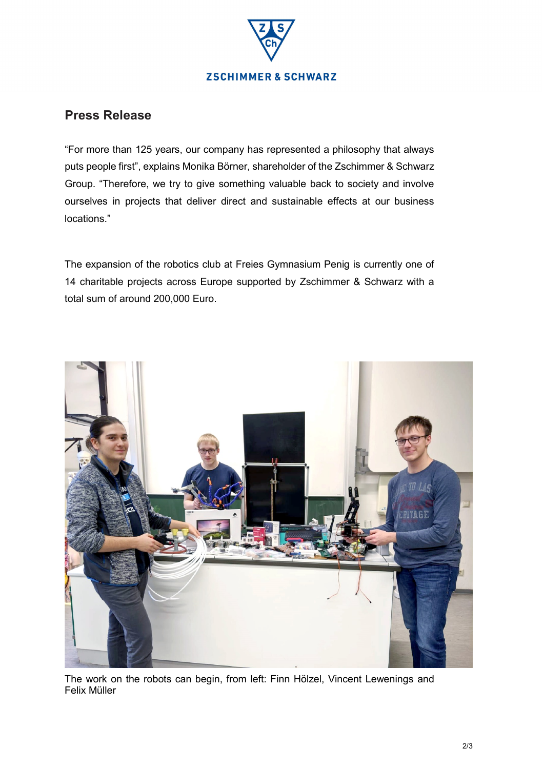

## **Press Release**

"For more than 125 years, our company has represented a philosophy that always puts people first", explains Monika Börner, shareholder of the Zschimmer & Schwarz Group. "Therefore, we try to give something valuable back to society and involve ourselves in projects that deliver direct and sustainable effects at our business locations."

The expansion of the robotics club at Freies Gymnasium Penig is currently one of 14 charitable projects across Europe supported by Zschimmer & Schwarz with a total sum of around 200,000 Euro.



The work on the robots can begin, from left: Finn Hölzel, Vincent Lewenings and Felix Müller